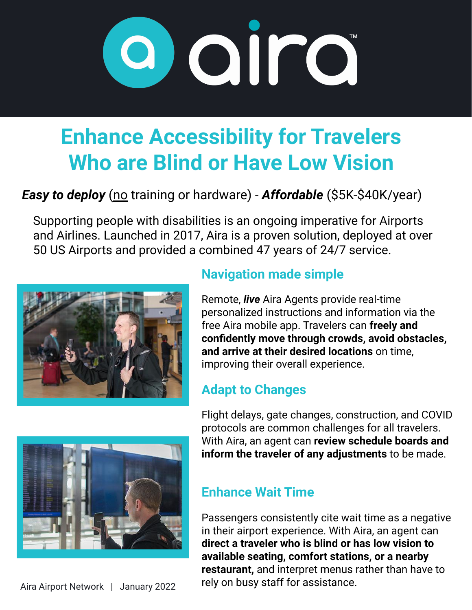

# **Enhance Accessibility for Travelers Who are Blind or Have Low Vision**

## *Easy to deploy* (no training or hardware) - *Affordable* (\$5K-\$40K/year)

Supporting people with disabilities is an ongoing imperative for Airports and Airlines. Launched in 2017, Aira is a proven solution, deployed at over 50 US Airports and provided a combined 47 years of 24/7 service.



### **Navigation made simple**

Remote, *live* Aira Agents provide real-time personalized instructions and information via the free Aira mobile app. Travelers can **freely and confidently move through crowds, avoid obstacles, and arrive at their desired locations** on time, improving their overall experience.

### **Adapt to Changes**



Flight delays, gate changes, construction, and COVID protocols are common challenges for all travelers. With Aira, an agent can **review schedule boards and inform the traveler of any adjustments** to be made.

### **Enhance Wait Time**

Passengers consistently cite wait time as a negative in their airport experience. With Aira, an agent can **direct a traveler who is blind or has low vision to available seating, comfort stations, or a nearby restaurant,** and interpret menus rather than have to rely on busy staff for assistance.